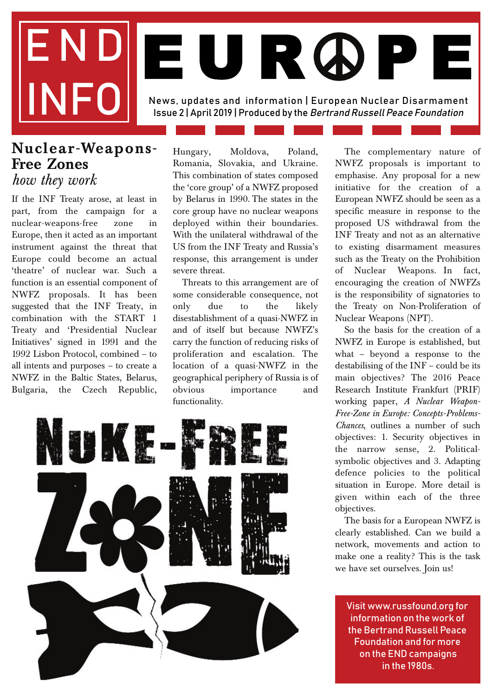# END News, updates and information | European Nuclear Disarmament Issue 2 | April 2019 | Produced by the Bertrand Russell Peace Foundation EUR ØP

#### **Nuclear-Weapons-Free Zones**  *how they work*

If the INF Treaty arose, at least in part, from the campaign for a nuclear-weapons-free zone in Europe, then it acted as an important instrument against the threat that Europe could become an actual 'theatre' of nuclear war. Such a function is an essential component of NWFZ proposals. It has been suggested that the INF Treaty, in combination with the START 1 Treaty and 'Presidential Nuclear Initiatives' signed in 1991 and the 1992 Lisbon Protocol, combined – to all intents and purposes – to create a NWFZ in the Baltic States, Belarus, Bulgaria, the Czech Republic,

Hungary, Moldova, Poland, Romania, Slovakia, and Ukraine. This combination of states composed the 'core group' of a NWFZ proposed by Belarus in 1990. The states in the core group have no nuclear weapons deployed within their boundaries. With the unilateral withdrawal of the US from the INF Treaty and Russia's response, this arrangement is under severe threat.

Threats to this arrangement are of some considerable consequence, not only due to the likely disestablishment of a quasi-NWFZ in and of itself but because NWFZ's carry the function of reducing risks of proliferation and escalation. The location of a quasi-NWFZ in the geographical periphery of Russia is of obvious importance and functionality.



The complementary nature of NWFZ proposals is important to emphasise. Any proposal for a new initiative for the creation of a European NWFZ should be seen as a specific measure in response to the proposed US withdrawal from the INF Treaty and not as an alternative to existing disarmament measures such as the Treaty on the Prohibition of Nuclear Weapons. In fact, encouraging the creation of NWFZs is the responsibility of signatories to the Treaty on Non-Proliferation of Nuclear Weapons (NPT).

So the basis for the creation of a NWFZ in Europe is established, but what – beyond a response to the destabilising of the INF – could be its main objectives? The 2016 Peace Research Institute Frankfurt (PRIF) working paper, *A Nuclear Weapon-Free-Zone in Europe: Concepts-Problems-Chances*, outlines a number of such objectives: 1. Security objectives in the narrow sense, 2. Politicalsymbolic objectives and 3. Adapting defence policies to the political situation in Europe. More detail is given within each of the three objectives.

The basis for a European NWFZ is clearly established. Can we build a network, movements and action to make one a reality? This is the task we have set ourselves. Join us!

Visit www.russfound,org for information on the work of the Bertrand Russell Peace Foundation and for more on the END campaigns in the 1980s.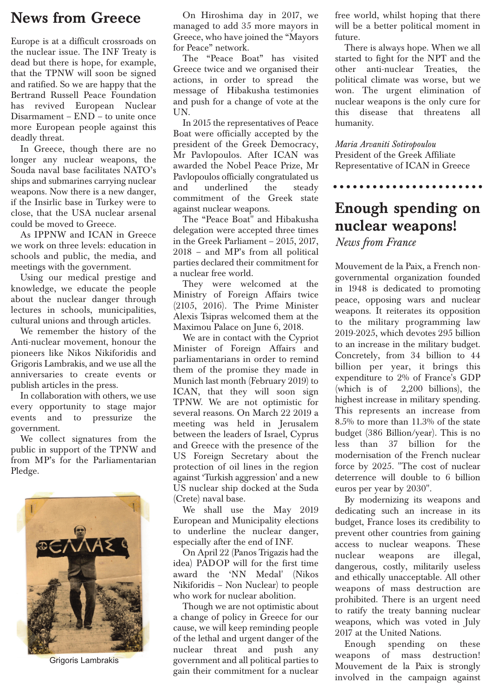### **News from Greece**

Europe is at a difficult crossroads on the nuclear issue. The INF Treaty is dead but there is hope, for example, that the TPNW will soon be signed and ratified. So we are happy that the Bertrand Russell Peace Foundation has revived European Nuclear Disarmament – END – to unite once more European people against this deadly threat.

In Greece, though there are no longer any nuclear weapons, the Souda naval base facilitates NATO's ships and submarines carrying nuclear weapons. Now there is a new danger, if the Insirlic base in Turkey were to close, that the USA nuclear arsenal could be moved to Greece.

As IPPNW and ICAN in Greece we work on three levels: education in schools and public, the media, and meetings with the government.

Using our medical prestige and knowledge, we educate the people about the nuclear danger through lectures in schools, municipalities, cultural unions and through articles.

We remember the history of the Anti-nuclear movement, honour the pioneers like Nikos Nikiforidis and Grigoris Lambrakis, and we use all the anniversaries to create events or publish articles in the press.

In collaboration with others, we use every opportunity to stage major events and to pressurize the government.

We collect signatures from the public in support of the TPNW and from MP's for the Parliamentarian Pledge.



Grigoris Lambrakis

On Hiroshima day in 2017, we managed to add 35 more mayors in Greece, who have joined the "Mayors for Peace" network.

The "Peace Boat" has visited Greece twice and we organised their actions, in order to spread the message of Hibakusha testimonies and push for a change of vote at the UN.

In 2015 the representatives of Peace Boat were officially accepted by the president of the Greek Democracy, Mr Pavlopoulos. After ICAN was awarded the Nobel Peace Prize, Mr Pavlopoulos officially congratulated us and underlined the steady commitment of the Greek state against nuclear weapons.

The "Peace Boat" and Hibakusha delegation were accepted three times in the Greek Parliament – 2015, 2017, 2018 – and MP's from all political parties declared their commitment for a nuclear free world.

They were welcomed at the Ministry of Foreign Affairs twice (2105, 2016). The Prime Minister Alexis Tsipras welcomed them at the Maximou Palace on June 6, 2018.

We are in contact with the Cypriot Minister of Foreign Affairs and parliamentarians in order to remind them of the promise they made in Munich last month (February 2019) to ICAN, that they will soon sign TPNW. We are not optimistic for several reasons. On March 22 2019 a meeting was held in Jerusalem between the leaders of Israel, Cyprus and Greece with the presence of the US Foreign Secretary about the protection of oil lines in the region against 'Turkish aggression' and a new US nuclear ship docked at the Suda (Crete) naval base.

We shall use the May 2019 European and Municipality elections to underline the nuclear danger, especially after the end of INF.

On April 22 (Panos Trigazis had the idea) PADOP will for the first time award the 'NN Medal' (Nikos Nikiforidis – Non Nuclear) to people who work for nuclear abolition.

Though we are not optimistic about a change of policy in Greece for our cause, we will keep reminding people of the lethal and urgent danger of the nuclear threat and push any government and all political parties to gain their commitment for a nuclear

free world, whilst hoping that there will be a better political moment in future.

There is always hope. When we all started to fight for the NPT and the other anti-nuclear Treaties, political climate was worse, but we won. The urgent elimination of nuclear weapons is the only cure for this disease that threatens humanity.

*Maria Arvaniti Sotiropoulou* President of the Greek Affiliate Representative of ICAN in Greece

### **Enough spending on nuclear weapons!**

*News from France*

Mouvement de la Paix, a French nongovernmental organization founded in 1948 is dedicated to promoting peace, opposing wars and nuclear weapons. It reiterates its opposition to the military programming law 2019-2025, which devotes 295 billion to an increase in the military budget. Concretely, from 34 billion to 44 billion per year, it brings this expenditure to 2% of France's GDP (which is of 2,200 billions), the highest increase in military spending. This represents an increase from 8.5% to more than 11.3% of the state budget (386 Billion/year). This is no less than 37 billion for the modernisation of the French nuclear force by 2025. "The cost of nuclear deterrence will double to 6 billion euros per year by 2030".

By modernizing its weapons and dedicating such an increase in its budget, France loses its credibility to prevent other countries from gaining access to nuclear weapons. These nuclear weapons are illegal, dangerous, costly, militarily useless and ethically unacceptable. All other weapons of mass destruction are prohibited. There is an urgent need to ratify the treaty banning nuclear weapons, which was voted in July 2017 at the United Nations.

Enough spending on these weapons of mass destruction! Mouvement de la Paix is strongly involved in the campaign against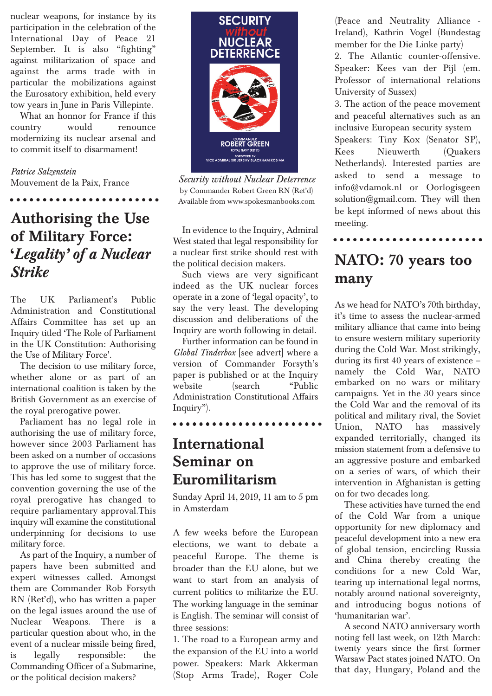nuclear weapons, for instance by its participation in the celebration of the International Day of Peace 21 September. It is also "fighting" against militarization of space and against the arms trade with in particular the mobilizations against the Eurosatory exhibition, held every tow years in June in Paris Villepinte.

What an honnor for France if this country would renounce modernizing its nuclear arsenal and to commit itself to disarmament!

*Patrice Salzenstein* Mouvement de la Paix, France

### **Authorising the Use of Military Force: '***Legality' of a Nuclear Strike*

The UK Parliament's Public Administration and Constitutional Affairs Committee has set up an Inquiry titled 'The Role of Parliament in the UK Constitution: Authorising the Use of Military Force'.

The decision to use military force, whether alone or as part of an international coalition is taken by the British Government as an exercise of the royal prerogative power.

Parliament has no legal role in authorising the use of military force, however since 2003 Parliament has been asked on a number of occasions to approve the use of military force. This has led some to suggest that the convention governing the use of the royal prerogative has changed to require parliamentary approval.This inquiry will examine the constitutional underpinning for decisions to use military force.

As part of the Inquiry, a number of papers have been submitted and expert witnesses called. Amongst them are Commander Rob Forsyth RN (Ret'd), who has written a paper on the legal issues around the use of Nuclear Weapons. There is a particular question about who, in the event of a nuclear missile being fired, is legally responsible: the Commanding Officer of a Submarine, or the political decision makers?



*Security without Nuclear Deterrence* by Commander Robert Green RN (Ret'd) Available from www.spokesmanbooks.com

In evidence to the Inquiry, Admiral West stated that legal responsibility for a nuclear first strike should rest with the political decision makers.

Such views are very significant indeed as the UK nuclear forces operate in a zone of 'legal opacity', to say the very least. The developing discussion and deliberations of the Inquiry are worth following in detail.

Further information can be found in *Global Tinderbox* [see advert] where a version of Commander Forsyth's paper is published or at the Inquiry website (search "Public Administration Constitutional Affairs Inquiry").

#### 

### **International Seminar on Euromilitarism**

Sunday April 14, 2019, 11 am to 5 pm in Amsterdam

A few weeks before the European elections, we want to debate a peaceful Europe. The theme is broader than the EU alone, but we want to start from an analysis of current politics to militarize the EU. The working language in the seminar is English. The seminar will consist of three sessions:

1. The road to a European army and the expansion of the EU into a world power. Speakers: Mark Akkerman (Stop Arms Trade), Roger Cole (Peace and Neutrality Alliance - Ireland), Kathrin Vogel (Bundestag member for the Die Linke party) 2. The Atlantic counter-offensive. Speaker: Kees van der Pijl (em. Professor of international relations University of Sussex)

3. The action of the peace movement and peaceful alternatives such as an inclusive European security system Speakers: Tiny Kox (Senator SP), Kees Nieuwerth (Quakers Netherlands). Interested parties are asked to send a message to info@vdamok.nl or Oorlogisgeen solution@gmail.com. They will then be kept informed of news about this meeting.

### **NATO: 70 years too many**

As we head for NATO's 70th birthday, it's time to assess the nuclear-armed military alliance that came into being to ensure western military superiority during the Cold War. Most strikingly, during its first 40 years of existence – namely the Cold War, NATO embarked on no wars or military campaigns. Yet in the 30 years since the Cold War and the removal of its political and military rival, the Soviet Union, NATO has massively expanded territorially, changed its mission statement from a defensive to an aggressive posture and embarked on a series of wars, of which their intervention in Afghanistan is getting on for two decades long.

These activities have turned the end of the Cold War from a unique opportunity for new diplomacy and peaceful development into a new era of global tension, encircling Russia and China thereby creating the conditions for a new Cold War, tearing up international legal norms, notably around national sovereignty, and introducing bogus notions of 'humanitarian war'.

A second NATO anniversary worth noting fell last week, on 12th March: twenty years since the first former Warsaw Pact states joined NATO. On that day, Hungary, Poland and the